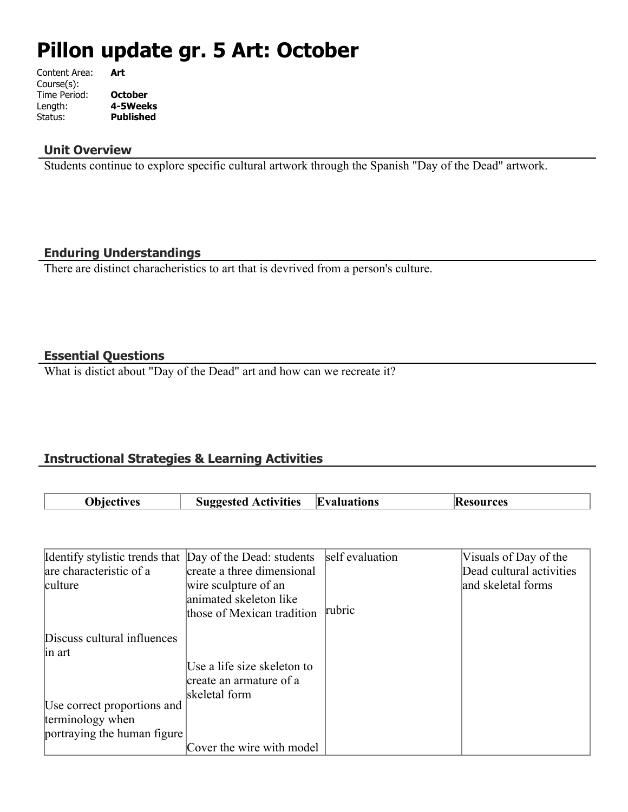# **Pillon update gr. 5 Art: October**

| Content Area: | Art              |
|---------------|------------------|
| Course(s):    |                  |
| Time Period:  | <b>October</b>   |
| Length:       | 4-5Weeks         |
| Status:       | <b>Published</b> |
|               |                  |

#### **Unit Overview**

Students continue to explore specific cultural artwork through the Spanish "Day of the Dead" artwork.

# **Enduring Understandings**

There are distinct characheristics to art that is devrived from a person's culture.

# **Essential Questions**

What is distict about "Day of the Dead" art and how can we recreate it?

# **Instructional Strategies & Learning Activities**

| ')hiectives | <b>Activities</b><br>$-$ | E,<br>bvaluations | m |
|-------------|--------------------------|-------------------|---|

| Identify stylistic trends that Day of the Dead: students |                             | self evaluation | Visuals of Day of the    |
|----------------------------------------------------------|-----------------------------|-----------------|--------------------------|
| are characteristic of a                                  | create a three dimensional  |                 | Dead cultural activities |
| culture                                                  | wire sculpture of an        |                 | and skeletal forms       |
|                                                          | animated skeleton like      |                 |                          |
|                                                          | those of Mexican tradition  | rubric          |                          |
| Discuss cultural influences                              |                             |                 |                          |
| in art                                                   |                             |                 |                          |
|                                                          | Use a life size skeleton to |                 |                          |
|                                                          | create an armature of a     |                 |                          |
|                                                          | skeletal form               |                 |                          |
| Use correct proportions and                              |                             |                 |                          |
| terminology when                                         |                             |                 |                          |
| portraying the human figure                              |                             |                 |                          |
|                                                          | Cover the wire with model   |                 |                          |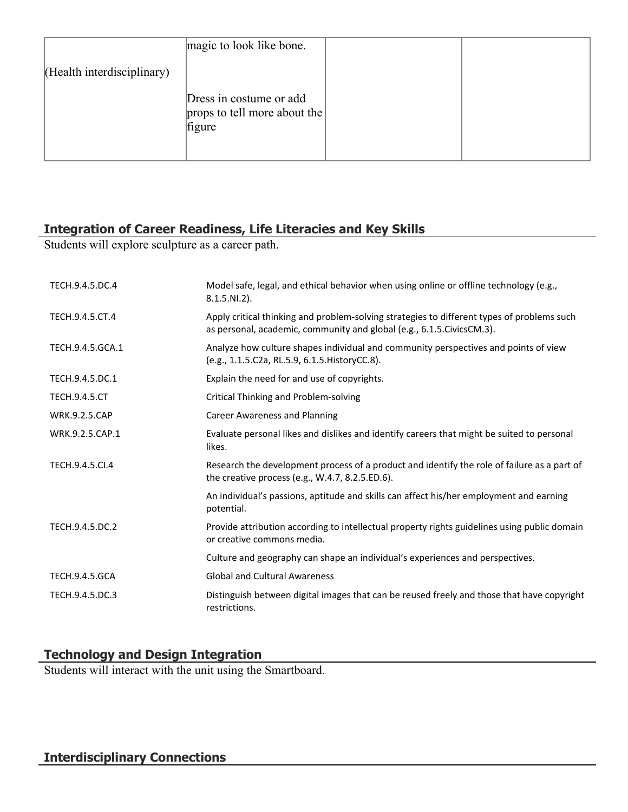|                            | magic to look like bone.                                          |  |
|----------------------------|-------------------------------------------------------------------|--|
| (Health interdisciplinary) |                                                                   |  |
|                            | Dress in costume or add<br>props to tell more about the<br>figure |  |

# **Integration of Career Readiness, Life Literacies and Key Skills**

Students will explore sculpture as a career path.

| TECH.9.4.5.DC.4       | Model safe, legal, and ethical behavior when using online or offline technology (e.g.,<br>$8.1.5.NI.2$ ).                                                             |
|-----------------------|-----------------------------------------------------------------------------------------------------------------------------------------------------------------------|
| TECH.9.4.5.CT.4       | Apply critical thinking and problem-solving strategies to different types of problems such<br>as personal, academic, community and global (e.g., 6.1.5. Civics CM.3). |
| TECH.9.4.5.GCA.1      | Analyze how culture shapes individual and community perspectives and points of view<br>(e.g., 1.1.5.C2a, RL.5.9, 6.1.5. HistoryCC.8).                                 |
| TECH.9.4.5.DC.1       | Explain the need for and use of copyrights.                                                                                                                           |
| <b>TECH.9.4.5.CT</b>  | Critical Thinking and Problem-solving                                                                                                                                 |
| <b>WRK.9.2.5.CAP</b>  | Career Awareness and Planning                                                                                                                                         |
| WRK.9.2.5.CAP.1       | Evaluate personal likes and dislikes and identify careers that might be suited to personal<br>likes.                                                                  |
| TECH.9.4.5.Cl.4       | Research the development process of a product and identify the role of failure as a part of<br>the creative process (e.g., W.4.7, 8.2.5.ED.6).                        |
|                       | An individual's passions, aptitude and skills can affect his/her employment and earning<br>potential.                                                                 |
| TECH.9.4.5.DC.2       | Provide attribution according to intellectual property rights guidelines using public domain<br>or creative commons media.                                            |
|                       | Culture and geography can shape an individual's experiences and perspectives.                                                                                         |
| <b>TECH.9.4.5.GCA</b> | <b>Global and Cultural Awareness</b>                                                                                                                                  |
| TECH.9.4.5.DC.3       | Distinguish between digital images that can be reused freely and those that have copyright<br>restrictions.                                                           |

# **Technology and Design Integration**

Students will interact with the unit using the Smartboard.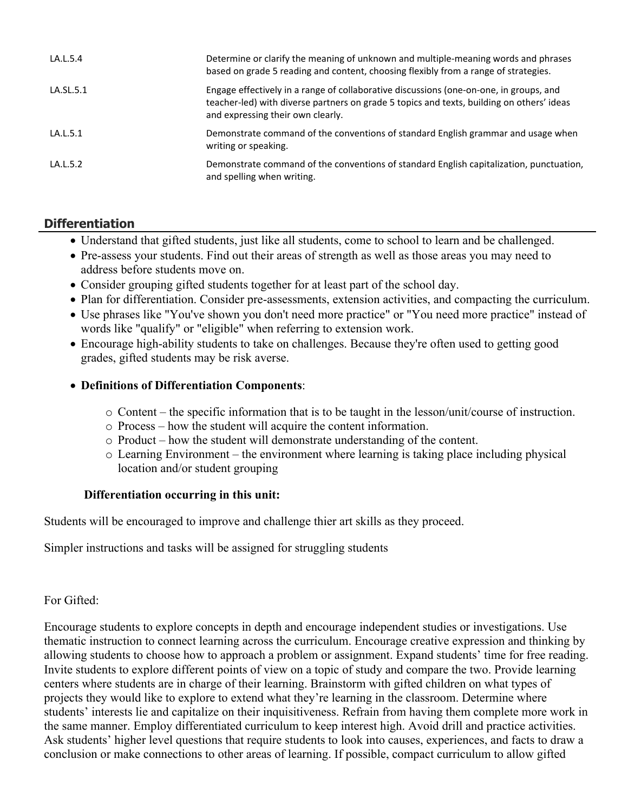| LA.L.5.4  | Determine or clarify the meaning of unknown and multiple-meaning words and phrases<br>based on grade 5 reading and content, choosing flexibly from a range of strategies.                                                |
|-----------|--------------------------------------------------------------------------------------------------------------------------------------------------------------------------------------------------------------------------|
| LA.SL.5.1 | Engage effectively in a range of collaborative discussions (one-on-one, in groups, and<br>teacher-led) with diverse partners on grade 5 topics and texts, building on others' ideas<br>and expressing their own clearly. |
| LA.L.5.1  | Demonstrate command of the conventions of standard English grammar and usage when<br>writing or speaking.                                                                                                                |
| LA.L.5.2  | Demonstrate command of the conventions of standard English capitalization, punctuation,<br>and spelling when writing.                                                                                                    |

# **Differentiation**

- Understand that gifted students, just like all students, come to school to learn and be challenged.
- Pre-assess your students. Find out their areas of strength as well as those areas you may need to address before students move on.
- Consider grouping gifted students together for at least part of the school day.
- Plan for differentiation. Consider pre-assessments, extension activities, and compacting the curriculum.
- Use phrases like "You've shown you don't need more practice" or "You need more practice" instead of words like "qualify" or "eligible" when referring to extension work.
- Encourage high-ability students to take on challenges. Because they're often used to getting good grades, gifted students may be risk averse.

# **Definitions of Differentiation Components**:

- o Content the specific information that is to be taught in the lesson/unit/course of instruction.
- o Process how the student will acquire the content information.
- o Product how the student will demonstrate understanding of the content.
- o Learning Environment the environment where learning is taking place including physical location and/or student grouping

# **Differentiation occurring in this unit:**

Students will be encouraged to improve and challenge thier art skills as they proceed.

Simpler instructions and tasks will be assigned for struggling students

# For Gifted:

Encourage students to explore concepts in depth and encourage independent studies or investigations. Use thematic instruction to connect learning across the curriculum. Encourage creative expression and thinking by allowing students to choose how to approach a problem or assignment. Expand students' time for free reading. Invite students to explore different points of view on a topic of study and compare the two. Provide learning centers where students are in charge of their learning. Brainstorm with gifted children on what types of projects they would like to explore to extend what they're learning in the classroom. Determine where students' interests lie and capitalize on their inquisitiveness. Refrain from having them complete more work in the same manner. Employ differentiated curriculum to keep interest high. Avoid drill and practice activities. Ask students' higher level questions that require students to look into causes, experiences, and facts to draw a conclusion or make connections to other areas of learning. If possible, compact curriculum to allow gifted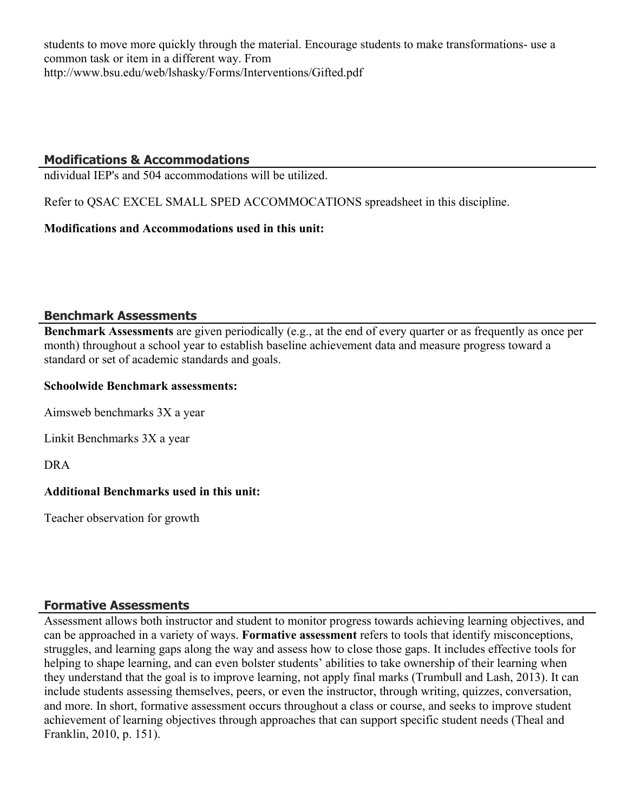students to move more quickly through the material. Encourage students to make transformations- use a common task or item in a different way. From http://www.bsu.edu/web/lshasky/Forms/Interventions/Gifted.pdf

# **Modifications & Accommodations**

ndividual IEP's and 504 accommodations will be utilized.

Refer to QSAC EXCEL SMALL SPED ACCOMMOCATIONS spreadsheet in this discipline.

# **Modifications and Accommodations used in this unit:**

# **Benchmark Assessments**

**Benchmark Assessments** are given periodically (e.g., at the end of every quarter or as frequently as once per month) throughout a school year to establish baseline achievement data and measure progress toward a standard or set of academic standards and goals.

#### **Schoolwide Benchmark assessments:**

Aimsweb benchmarks 3X a year

Linkit Benchmarks 3X a year

DRA

# **Additional Benchmarks used in this unit:**

Teacher observation for growth

# **Formative Assessments**

Assessment allows both instructor and student to monitor progress towards achieving learning objectives, and can be approached in a variety of ways. **Formative assessment** refers to tools that identify misconceptions, struggles, and learning gaps along the way and assess how to close those gaps. It includes effective tools for helping to shape learning, and can even bolster students' abilities to take ownership of their learning when they understand that the goal is to improve learning, not apply final marks (Trumbull and Lash, 2013). It can include students assessing themselves, peers, or even the instructor, through writing, quizzes, conversation, and more. In short, formative assessment occurs throughout a class or course, and seeks to improve student achievement of learning objectives through approaches that can support specific student needs (Theal and Franklin, 2010, p. 151).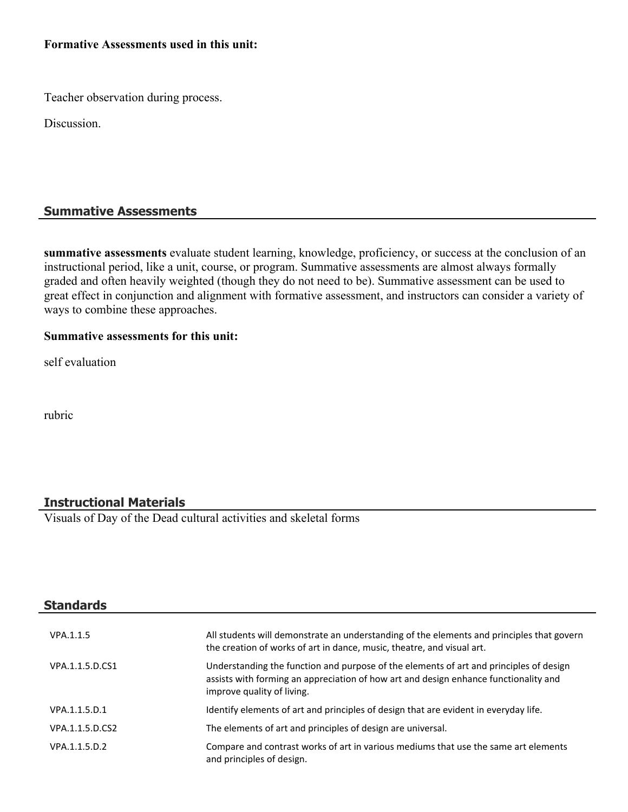#### **Formative Assessments used in this unit:**

Teacher observation during process.

Discussion.

# **Summative Assessments**

**summative assessments** evaluate student learning, knowledge, proficiency, or success at the conclusion of an instructional period, like a unit, course, or program. Summative assessments are almost always formally graded and often heavily weighted (though they do not need to be). Summative assessment can be used to great effect in conjunction and alignment with formative assessment, and instructors can consider a variety of ways to combine these approaches.

#### **Summative assessments for this unit:**

self evaluation

rubric

# **Instructional Materials**

Visuals of Day of the Dead cultural activities and skeletal forms

| <b>Standards</b> |                                                                                                                                                                                                              |
|------------------|--------------------------------------------------------------------------------------------------------------------------------------------------------------------------------------------------------------|
| VPA.1.1.5        | All students will demonstrate an understanding of the elements and principles that govern<br>the creation of works of art in dance, music, theatre, and visual art.                                          |
| VPA.1.1.5.D.CS1  | Understanding the function and purpose of the elements of art and principles of design<br>assists with forming an appreciation of how art and design enhance functionality and<br>improve quality of living. |
| VPA.1.1.5.D.1    | Identify elements of art and principles of design that are evident in everyday life.                                                                                                                         |
| VPA.1.1.5.D.CS2  | The elements of art and principles of design are universal.                                                                                                                                                  |
| VPA.1.1.5.D.2    | Compare and contrast works of art in various mediums that use the same art elements<br>and principles of design.                                                                                             |